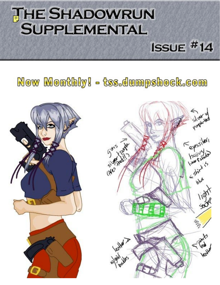# **THE SHADOWRUN SUPPLEMENTAL**

Now Monthly! - tss.dumpshock.com

 $ISSUE$ #14

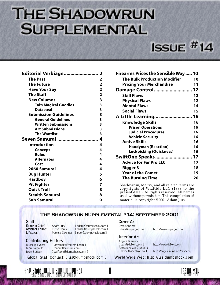# **THE SHADOWRUN SUPPLEMENTAL**

## $ISSUE$ #14

| Editorial Verbiage 2         |                         |
|------------------------------|-------------------------|
| <b>The Past</b>              | 2                       |
| <b>The Future</b>            | $\overline{\mathbf{2}}$ |
| <b>Have Your Say</b>         | $\overline{2}$          |
| <b>The Staff</b>             | $\overline{\mathbf{2}}$ |
| <b>New Columns</b>           | 3                       |
| <b>Tai's Magical Goodies</b> | 3                       |
| <b>Datasteal</b>             | 3                       |
| <b>Submission Guidelines</b> | 3                       |
| <b>General Guidelines</b>    | 3                       |
| <b>Written Submissions</b>   | 3                       |
| <b>Art Submissions</b>       | 3                       |
| <b>The Wantlist</b>          | 3                       |
|                              |                         |
| Seven Samurai                | 4                       |
| <b>Introduction</b>          | 4                       |
| Concept                      | 4                       |
| <b>Rules</b>                 | 4                       |
| <b>Alternates</b>            | 4                       |
| Cost                         | 4                       |
| 2060 Samurai                 | 4                       |
| <b>Bug Hunter</b>            | 5                       |
| <b>Hardboy</b>               | 6                       |
| <b>Pit Fighter</b>           | 7                       |
| <b>Quick Troll</b>           | 8                       |
| <b>Stealth Samurai</b>       | 8                       |

| Firearms Prices the Sensible Way  10 |    |
|--------------------------------------|----|
| <b>The Bulk Production Modifier</b>  | 10 |
| <b>Pricing Your Merchandise</b>      | 11 |
| <b>Damage Control  12</b>            |    |
| <b>Skill Flaws</b>                   | 12 |
| <b>Physical Flaws</b>                | 12 |
| <b>Mental Flaws</b>                  | 14 |
| <b>Social Flaws</b>                  | 15 |
| A Little Learning  16                |    |
| <b>Knowledge Skills</b>              | 16 |
| <b>Prison Operations</b>             | 16 |
| <b>Judicial Procedures</b>           | 16 |
| <b>Vehicle Security</b>              | 16 |
| <b>Active Skills</b>                 | 16 |
| <b>Handyman (Reaction)</b>           | 16 |
| <b>Lockpicking (Quickness)</b>       | 16 |
| SwiftOne Speaks 17                   |    |
| <b>Advice for FanPro LLC</b>         | 17 |
| Rigger 3                             | 18 |
| <b>Year of the Comet</b>             | 19 |
| <b>The Burning Time</b>              | 20 |

Shadowrun, Matrix, and all related terms are copyrights of WizKids LLC (1989 to the present date.), All rights reserved. All names used without permission. This compilation of material is copyright ©2001 Adam Jury

#### **The Shadowrun Supplemental #14: September 2001**

**Staff**<br>Editor-in-Chief:

**Editor-in-Chief:** Adam Jury [ [adamj@dumpshock.com](mailto:adamj@dumpshock.com) ]<br>**Assistant Editor:** Elissa Carev [ elissa@dumpshock.com ] [ [elissa@dumpshock.com](mailto:elissa@dumpshock.com) ] Lifesaver: Pamela Zerbinos [ [pam@dumpshock.com](mailto:pam@dumpshock.com) ]

#### **Contributing Editors**

the Shadowrun Supplemental

Michelle Lyons: [ ladyanaka@hotmail.com ]<br>Marc Renouf: [ renouf@erim-int.com ] [ renouf@erim-int.com ] Brett Sanger: [ swiftone@dumpshock.com ]

**Global Staff Contact: [ [tss@dumpshock.com](mailto:tss@dumpshock.com) ] World Wide Web:<http://tss.dumpshock.com>**

## **Cover Art**

Drea O'Dare:<br>[ drea@supergoth.com ]

#### **Interior Art**

Angela Marcucci :<br>
[ i.am@dvixen.com ] Alexandre van Chestein:<br>[ havoc@videotron.ca ]

http://www.dvixen.com

http://www.supergoth.com

http://pages.infinit.net/havochq/



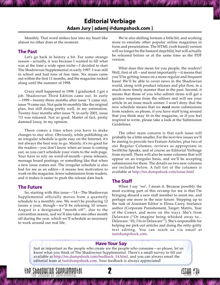### **Editorial Verbiage [Adam Jury \[ adamj @dumpshock.com \]](mailto:adamj@dumpshock.com)**

<span id="page-2-0"></span>Monthly. That word strikes fear into my heart like almost no other does at the moment.

#### **The Past**

Let's go back in history a bit. For some strange reason—actually, it was because I wanted to fill what was at the time a wide open niche $-I$  decided to start The Shadowrun Supplemental in early 1997. I was still in school and had tons of free time. Six issues came out within the first 11 months, and the magazine rocked along until the summer of 1998.

Crazy stuff happened in 1998. I graduated. I got a job. Shadowrun Third Edition came out. In early  $-1999$  – twenty-three months after issue  $*1$  came out, issue # 9 came out. Not quite bi-monthly like the original plan, but still doing pretty well, in my estimation. Twenty-four months after issue # 9, in early 2001, issue # 13 was released. Not so good. Matter of fact, pretty damned lousy, in my opinion.

There comes a time when you have to make changes to stay alive. Obviously, while publishing on an irregular schedule is quite easy on the Internet, it's not always the best way to go. Mainly, it's no good for the readers—you don't know when an issue is coming out, so you can't schedule your visits to the web-page. Your have to rely on word-of-mouth–press releases, message board postings, or something like that when a new issue comes out. The irregular schedule is also bad for me as an editor-it means less motivation to work on the magazine, fewer submissions from readers, and it makes it easier to push the release date back.

#### **The Future**

So, starting with this issue—#14—The Shadowrun Supplemental officially moves from a quarterly schedule to a monthly one. We won't be producing 12 issues a year, though–we'll be releasing 10 issues. August is a designated "month off", due to the convention season, and we'll also take one other month off during the year, which we'll schedule as necessary to work around our real life.

2 The Shadowrun Supplemental The Shadowrun Supplemental Issue #14 issue #

We're also shifting formats a little bit, and working more to emulate other popular online magazines in form and presentation. The HTML (web based) version will no longer be the bastard stepchild, but will actually be released before or at the same time as the PDF version.

What does this mean for you people, the readers? Well, first of all—and most importantly—it means that you'll be getting issues on a more regular and frequent basis! We'll be able to cover news in the Shadowrun world, along with product releases and plot flow, in a much more timely manner than in the past. Second, it means that those of you who submit items will get a quicker response from the editors and will see your article in an issue much sooner. I won't deny that the new schedule means that we **need** more submissions from readers, so please, if you have stuff lying around that you think may fit in the magazine, or if you feel inspired to write, please take a look at the Submission Guidelines.

The other main concern is that each issue will probably be a little smaller. For the next few issues we'll be aiming to provide two Feature Articles, plus two of our Regular Columns, reviews as appropriate in SwiftOne Speaks, and of course an Editorial Verbiage from myself. There will also be some columns that will appear on an irregular basis, and we'll be accepting submissions for them. The details on two new columns are included below. A full list of the columns is available at <http://tss.dumpshock.com/issue.html>

#### **The Staff**

When I say 'we', I mean it. Because possibly the most exciting part of this revamp for me is that Iím bringing aboard a new staff member to assist me, and perhaps one more in the near future. Stepping up to the task of Assistant Editor is Elissa Carey, freelance author (Corporate Punishement, Target: Matrix, Year of the Comet, and more on the way). Sheís from Delaware ("Or imagine being whisked away to... Delaware. 'Hi, I'm in Delaware'"). She's responsible for helping me pick out articles and doing the nitty-gritty text editing. You can reach us via email at [tss@dumpshock.com](mailto:tss@dumpshock.com).

14

#### **Have Your Say**

Just as important as the people who create are the people who consume $-$ so please, let us know what you think of The Shadowrun Supplemental. There's a small survey to fill out available at [http://tss.dumpshock.com/feedback\\_14.html,](http://tss.dumpshock.com/feedback_14.html) and you can always email the editorial team at [tss@dumpshock.com](mailto:tss@dumpshock.com). Your feedback is always appreciated!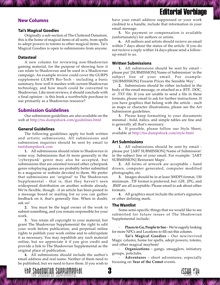#### <span id="page-3-0"></span>**New Columns**

#### **Tai's Magical Goodies**

Originally a sub-section of The Cluttered Datastore, this is the home of magical items of all sorts, from spells to adept powers to totems to other magical items. Taiís Magical Goodies is open to submissions from anyone.

#### **Datasteal**

A new column for reviewing non-Shadowrun gaming material, for the purpose of showing how it can relate to Shadowrun and be used in a Shadowrun campaign. An example review could cover the GURPS supplement GURPS Bio-Tech - including a basic summary, how well it meshes with current Shadowrun technology, and how much could be converted to Shadowrun. Like most reviews, it should conclude with a final opinion - is this book a worthwhile purchase to use primarily as a Shadowrun resource?

#### **Submission Guidelines**

Our submission guidelines are also available on the web at <http://tss.dumpshock.com/guidelines.html>

#### **General Guidelines**

The following guidelines apply for both written and artistic submissions. All submissions and submission inquiries should be sent by email to [tss@dumpshock.com](mailto:tss@dumpshock.com)

**1.** All submissions should relate to Shadowrun in some way. Submissions that fit more generally in the 'cyberpunk' genre may also be accepted, but submissions that are oriented toward other cyberpunk genre roleplaying games are probably better submitted to a magazine or website devoted to them. We prefer that submissions are 'original' to The Shadowrun Supplemental - that is, that they haven't seen widespread distribution on another website already. We're flexible, though - if an article has been posted to a message board or mailing list so you can gather feedback on it, that's generally fine. When in doubt, ask us!

**2.** You must be the legal owner of the work to submit something, and you remain responsible for your work.

**3.** You retain all copyright to your material, but grant The Shadowrun Supplemental the right to edit your work before publication, and perpetual online rights to publish your work online and to edit/update it as necessary. You may republish any such material online, but we appreciate it if you give credit and provide a link to The Shadowrun Supplemental as the original place of publication.

**4.** All submissions should include the author's email address and real name. Neither of them need to be published, but we need to have them. If you wish to

adowrun Supplemental III **33**<br>Shadowrun Supplemental

have your email address suppressed or your work credited to a handle, include that information in your email message.

**5.** No payment or compensation is available (unfortunately) for authors or artists.

**6.** All authors and artists should recieve an email within 7 days about the status of the article. If you do not recieve a reply within 14 days please send a followup email to us.

#### **Written Submissions**

**1.** All submissions should be sent by email please put '[SUBMISSION] Name of Submission' in the subject line of your email. For example: '[SUBMISSION] Firearm Prices the Sensible Way'.

**2.** Submissions should be either included in the body of the email message, or attached as a .RTF, .DOC, or .TXT file. If you are unable to send a file in these formats, please email to ask for further instructions. If you have graphics that belong with the article - such as maps or character illustrations, please see the Art Submission guidelines.

**3.** Please keep formatting to your documents minimal - bold, italics, and simple tables are fine and is generally all that's necessary.

**4.** If possible, please follow our Style Sheet, available at <http://tss.dumpshock.com/style.html>

#### **Art Submissions**

**1.** All submissions should be sent by email please put '[ART SUBMISSION] Name of Submission' in the subject line of your email. For example: '[ART] SUBMISSION] Resturant Maps'.

**2.** All forms of artwork are acceptable – hand drawn, computer generated, computer modified photographs, etc.

**3.** Images should be in at least 300DPI format, 150 minimum. .TIF format is preferred, but .GIF, .JPG, and .BMP are all acceptable. Please email to ask about other formats.

**4.** All graphics must include the artist's signature or other defining mark.

#### **The Wantlist**

Some semi-specific things that we would like to see submitted for future issues of The Shadowrun Supplemental include:

**Places to Go, People to See – We're eagerly looking** for more NPCs and Locations to fill out this column.

**Tai's Magical Goodies** – Our new/revived Magic column, home for spells, adept powers, totems, and other magical mayhem!

**Organizations** - gangs, smugglers, initiatory groups, policlubs.

Adventures - short adventures, especially focusing on **Year of the Comet** events.

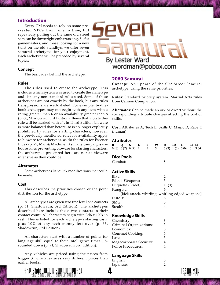#### <span id="page-4-0"></span>**Introduction**

Every GM needs to rely on some precreated NPCs from time to time, but repeatedly pulling out the same old street sam can be downright embarrassing. So for gamemasters, and those looking for a new twist on the old standbys, we offer seven samurai archetypes for your enjoyment. Each archetype will be preceded by several topics:

#### **Concept**

The basic idea behind the archetype.

#### **Rules**

The rules used to create the archetype. This includes which system was used to create the archetype and lists any non-standard rules used. Some of these archetypes are not exactly by the book, but any rules transgressions are well-labeled. For example, by-thebook archetypes may not begin with any item with a rating greater than 6 or an availability greater than 8 (p. 60, Shadowrun 3rd Edition). Items that violate this rule will be marked with a \*. In Third Edition, bioware is more balanced than before, so is no longer explicitly prohibited by rules for starting characters; however, the previously mentioned rules for availability apply to bioware for archetypes, as do the rules for Essence Index (p. 77, Man & Machine). As many campaigns use house rules preventing bioware for starting characters, the archetypes presented here are not as bioware intensive as they could be.

#### **Alternates**

Some archetypes list quick modifications that could be made.

#### **Cost**

This describes the priorities chosen or the point distribution for the archetype.

All archetypes are given two free level one contacts (p. 61, Shadowrun, 3rd Edition). The archetypes described here include these two contacts in their contact count. All characters begin with  $3d6 \times 100\frac{1}{2}$  in cash. This is listed for each archetype's starting cash, plus 10% of any tech money left over (p. 63, Shadowrun, 3rd Edition).

All characters start with a number of points for language skill equal to their intelligence times 1.5, rounded down (p. 91, Shadowrun 3rd Edition).

Any vehicles are priced using the prices from Rigger 3, which features very different prices than earlier books.



# 1\/P By Lester Ward wordman@pobox.com

#### **2060 Samurai**

**Concept:** An update of the SR2 Street Samurai archetype, using the same priorities.

**Rules:** Standard priority system. Martial Arts rules from Cannon Companion.

**Alternates:** Can be made an ork or dwarf without the corresponding attribute changes affecting the cost of skills.

**Cost:** Attributes A, Tech B, Skills C, Magic D, Race E (human)

#### **Attributes**

|  |  |  | BQSCI WRIDE BIEI                                |  |  |
|--|--|--|-------------------------------------------------|--|--|
|  |  |  | 6 (8) 6 (7) 6 (7) 2 5 5 5 (9) 1 (3) 0.04 0 3.04 |  |  |

#### **Dice Pools**

| Combat: |  |
|---------|--|
|         |  |

#### **Active Skills**

| 1(3)                                            |
|-------------------------------------------------|
| 6                                               |
| [kick attack, whirling, whirling-edged weapons] |
| h                                               |
| 5                                               |
|                                                 |
|                                                 |

#### **Knowledge Skills**

| Chemistry:              | З |
|-------------------------|---|
| Criminal Organizations: | 3 |
| Economics:              | З |
| Gourmet Cooking:        | 5 |
| Law:                    | 3 |
| Megacorporate Security: | 4 |
| Police Procedures:      | 4 |
|                         |   |

#### **Language Skills**

| English:  | 5 |
|-----------|---|
| Japanese: |   |

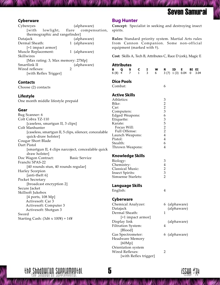#### <span id="page-5-0"></span>**Cyberware**

Cybereyes (alphaware) [with lowlight, flare compensation, thermographic and rangefinder] Datajack (alphaware) Dermal Sheath: 1 (alphaware) [+1 impact armor] Muscle Replacement: 1 (alphaware) Skillwires [Max rating: 3, Max memory: 27Mp] Smartlink II (alphaware)<br>Wired reflexes:  $\frac{1}{2}$ Wired reflexes: [with Reflex Trigger]

#### **Contacts**

Choose (2) contacts

#### **Lifestyle**

One month middle lifestyle prepaid

#### **Gear**

Bug Scanner: 6 Colt Cobra TZ-110 [caseless, smartgun II, 3 clips] Colt Manhunter [caseless, smartgun II, 5 clips, silencer, concealable quick-draw holster] Cougar Short Blade Dart Pistol [smartgun II, 4 clips narcoject, concealable quick draw holster] Doc Wagon Contract: Basic Service Franchi SPAS-22 [40 rounds stun, 40 rounds regular] Harley Scorpion [anti-theft 6] Pocket Secretary [broadcast encryption 2] Secure Jacket Skillsoft Jukebox [4 ports, 108 Mp] Activesoft: Car 3 Activesoft: Computer 3 Activesoft: Shotgun 3 Sword Starting Cash:  $(3d6 \times 100) + 14$ ¥

#### **Bug Hunter**

**Concept:** Specialist in seeking and destroying insect spirits.

**Rules:** Standard priority system. Martial Arts rules from Cannon Companion. Some non-official equipment (marked with  $\dagger$ ).

**Cost:** Skills A, Tech B, Attributes C, Race D (ork), Magic E

#### **Attributes**

|   | un inares<br>в<br>Q<br>$6(8)$ 4 |                              | s<br>7 | C<br>$\mathbf{1}$ | I<br>3                | W<br>6 | R              | <b>ID</b><br>3 (7) 1 (3) 0.04 | Е. | BI EI<br>$\mathbf{0}$ | 3.04 |
|---|---------------------------------|------------------------------|--------|-------------------|-----------------------|--------|----------------|-------------------------------|----|-----------------------|------|
|   | <b>Dice Pools</b>               |                              |        |                   |                       |        |                |                               |    |                       |      |
|   | Combat:                         |                              |        |                   |                       |        | 6              |                               |    |                       |      |
|   | <b>Active Skills</b>            |                              |        |                   |                       |        |                |                               |    |                       |      |
|   | Athletics:                      |                              |        |                   |                       |        | 3              |                               |    |                       |      |
|   | Bike:                           |                              |        |                   |                       |        |                |                               |    |                       |      |
|   | Car:                            |                              |        |                   |                       |        | $\frac{2}{3}$  |                               |    |                       |      |
|   | Computers:                      |                              |        |                   |                       |        |                |                               |    |                       |      |
|   | <b>Edged Weapons:</b>           |                              |        |                   |                       |        | 6              |                               |    |                       |      |
|   | Etiquette:                      |                              |        |                   |                       |        | 3              |                               |    |                       |      |
|   | Karate:                         |                              |        |                   |                       |        | 5              |                               |    |                       |      |
|   |                                 | Focus Will:<br>Full Offense: |        |                   |                       |        | $\frac{2}{2}$  |                               |    |                       |      |
| e | Launch Weapons:                 |                              |        |                   |                       |        | $\overline{4}$ |                               |    |                       |      |
|   | Pistol:                         |                              |        |                   |                       |        | $\overline{4}$ |                               |    |                       |      |
|   | Stealth:                        |                              |        |                   |                       |        | 6              |                               |    |                       |      |
|   | Thrown Weapons:                 |                              |        |                   |                       |        | $\overline{4}$ |                               |    |                       |      |
| k |                                 |                              |        |                   |                       |        |                |                               |    |                       |      |
|   | <b>Knowledge Skills</b>         |                              |        |                   |                       |        |                |                               |    |                       |      |
|   | Biology:                        |                              |        |                   |                       |        | 3              |                               |    |                       |      |
|   | Chemistry:                      |                              |        |                   |                       |        | $\overline{4}$ |                               |    |                       |      |
|   | Classical Music:                |                              |        |                   |                       |        | $\overline{c}$ |                               |    |                       |      |
|   | Insect Spirits:                 |                              |        |                   |                       |        | 3              |                               |    |                       |      |
|   | Simsense Starlets:              |                              |        |                   |                       |        | $\overline{2}$ |                               |    |                       |      |
|   | Language Skills                 |                              |        |                   |                       |        |                |                               |    |                       |      |
|   | English:                        |                              |        |                   |                       |        | 4              |                               |    |                       |      |
|   |                                 |                              |        |                   |                       |        |                |                               |    |                       |      |
|   | <b>Cyberware</b>                |                              |        |                   |                       |        |                |                               |    |                       |      |
|   | Chemical Analyzer:              |                              |        |                   |                       |        | 6              | (alphaware)                   |    |                       |      |
|   | Datajack                        |                              |        |                   |                       |        |                | (alphaware)                   |    |                       |      |
|   | Dermal Sheath:                  |                              |        |                   |                       |        | 1              |                               |    |                       |      |
|   |                                 | [+1 impact armor]            |        |                   |                       |        |                |                               |    |                       |      |
|   | Display link                    |                              |        |                   |                       |        |                | (alphaware)                   |    |                       |      |
|   | Filtration System:              |                              |        |                   |                       |        | 4              |                               |    |                       |      |
|   |                                 | [Blood]                      |        |                   |                       |        |                |                               |    |                       |      |
|   | Gas Spectrometer:               |                              |        |                   |                       |        |                | 6 (alphaware)                 |    |                       |      |
|   | Headware Memory                 |                              |        |                   |                       |        |                |                               |    |                       |      |
|   |                                 | [60Mp]                       |        |                   |                       |        |                |                               |    |                       |      |
|   | Orientation system              |                              |        |                   |                       |        |                |                               |    |                       |      |
|   | Wired Reflexes:                 |                              |        |                   |                       |        | 2              |                               |    |                       |      |
|   |                                 |                              |        |                   | [with Reflex trigger] |        |                |                               |    |                       |      |

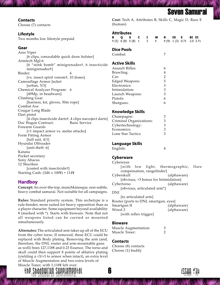## Seven Samurai

#### <span id="page-6-0"></span>**Contacts**

Choose (7) contacts

#### **Lifestyle**

Two months low lifestyle prepaid

#### **Gear**

Ares Viper [6 clips, concealable quick draw holster] Armtech Mgl-6 [6 "stink bomb" minigrenadest, 6 insecticide minigrenades<sup>†</sup>] Binder: 6 [vs. insect spirit venomt, 10 doses] Camouflage Armor Jacket [urban, 5/3] Chemical Analyzer Program: 6 [49Mp, in headware] Climbing Gear [harness, kit, gloves, 50m rope] Combat Axe Cougar Long Blade Dart pistol [4 clips insecticide dartst, 4 clips narcoject darts] Doc Wagon Contract: Basic Service Forearm Guards [+1 impact armor vs. melee attacks] Form Fitting Armor [full suit,  $4/1$ ] Hyundai Offroader [anti-theft: 6] Katana Pocket secretary Sony Abacus 12 Shuriken [coated with insecticide+] Starting Cash:  $(3d6 \times 100) + 114$ 

### **Hardboy**

**Concept:** An over-the-top, munchkinesque, non-subtle, heavy combat samurai. Not suitable for all campaigns.

**Rules:** Standard priority system. This archetype is a rule-bender, more suited for heavy opposition than as a player character. Some equipment beyond availability 8 (marked with \*). Starts with bioware. Note that not all weapons listed can be carried or mounted simultaneously.

**Alternates:** The articulated arm takes up all of the ECU from the cyber torso. If removed, these ECU could be replaced with Body plating. Removing the arm (and, therefore, the DNI, router and arm-mountable guns as well) frees 127,118¥ and 0.23 Essence. The torso and skull could then support 8 points of ablative plating (yielding a +3/+3 to armor when intact), an extra level of Muscle Augmentation and two extra levels of Muscle Toner, with 1,118¥ left over.



**Cost:** Tech A, Attributes B, Skills C, Magic D, Race E (human)

#### **Attributes**

|  |  |  | B Q S C I W R ID E BI EI                          |  |  |
|--|--|--|---------------------------------------------------|--|--|
|  |  |  | 4 (5) 6 (8) 5 (8) 1 3 5 4 (9) 1 (3) 0.71 2.0 3.71 |  |  |

#### **Dice Pools**

Combat: 7

#### **Active Skills**

| <b>Assault Rifles:</b> | 6 |
|------------------------|---|
| Brawling:              | 4 |
| Car:                   | 2 |
| <b>Edged Weapons:</b>  | 5 |
| Electronics:           | 3 |
| Intimidation:          | 3 |
| Launch Weapons:        | З |
| Pistols:               | 6 |
| Shotguns:              | 6 |
|                        |   |

#### **Knowledge Skills**

| Champagne:              | 3 |
|-------------------------|---|
| Criminal Organizations: | З |
| Cybertechnology:        | 3 |
| Economics:              | 3 |
| Lone Star Tactics:      | 3 |

#### **Language Skills**

| English: |  |
|----------|--|
|          |  |

#### **Cyberware**

Cybereyes [with low light, thermographic, flare compensation, rangefinder] Cyberskull (alphaware) [obvious, +3 bonus for Intimidation] Cybertorso (alphaware) [obvious, articulated arm\*] DNI [to articulated arm] Router [ports to DNI, smartgun, eyes] Smartgun II (alphaware) Wired 2 (alphaware) [with reflex trigger]

#### **Bioware**

| Muscle Augmentation: |  |
|----------------------|--|
| Muscle Toner:        |  |

#### **Contacts**

Choose (8) contacts Choose (1) buddy

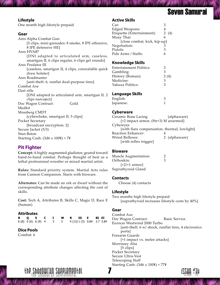## Seven Samurai

#### <span id="page-7-0"></span>**Lifestyle**

One month high lifestyle prepaid

#### **Gear**

| Ares Alpha Combat Gun                              |  |  |  |  |
|----------------------------------------------------|--|--|--|--|
| [5 clips, mini-grenades: 8 smoke, 8 IPE offensive, |  |  |  |  |
| 8 IPE defensive HE]                                |  |  |  |  |
| Ares HVAR*                                         |  |  |  |  |
| [DNI adapted to articulated arm, caseless,         |  |  |  |  |
| smartgun II, 6 clips regular, 6 clips gel rounds]  |  |  |  |  |
| Ares Predator III                                  |  |  |  |  |
| [caseless, smartgun II, 4 clips, concealable quick |  |  |  |  |
| draw holster]                                      |  |  |  |  |
| Ares Roadmaster                                    |  |  |  |  |
| [anti-theft: 6, runflat dual-purpose tires]        |  |  |  |  |
| Combat Axe                                         |  |  |  |  |
| Dart rifle                                         |  |  |  |  |
| [DNI adapted to articulated arm, smartgun II, 2    |  |  |  |  |
| clips narcoject]                                   |  |  |  |  |
| Doc Wagon Contract:<br>Gold                        |  |  |  |  |
| Medkit                                             |  |  |  |  |
| Mossberg CMDT                                      |  |  |  |  |
| [cyberchoke, smartgun II, 5 clips]                 |  |  |  |  |
| Pocket Secretary                                   |  |  |  |  |
| [broadcast encryption: 2]                          |  |  |  |  |
| Secure Jacket (5/3)                                |  |  |  |  |
| Stun Baton                                         |  |  |  |  |
| Starting Cash: $(3d6 \times 100) + 7$              |  |  |  |  |
|                                                    |  |  |  |  |

#### **Pit Fighter**

**Concept:** A highly augmented gladiator, geared toward hand-to-hand combat. Perhaps thought of best as a lethal professional wrestler or mixed martial artist.

**Rules:** Standard priority system. Martial Arts rules from Cannon Companion. Starts with bioware.

**Alternates:** Can be made an ork or dwarf without the corresponding attribute changes affecting the cost of skills.

**Cost:** Tech A, Attributes B, Skills C, Magic D, Race E (human)

#### **Attributes**

|  |  | B Q S C I W R ID E BI EI                           |  |  |  |
|--|--|----------------------------------------------------|--|--|--|
|  |  | 6 (8) 5 (6) 6 (9) 4 3 3 4 (13) 1 (3) 0.84 3.7 3.84 |  |  |  |

#### **Dice Pools**

Combat: 6

#### **Active Skills**

| Car:                         |   |         |
|------------------------------|---|---------|
| <b>Edged Weapons:</b>        | 4 |         |
| Etiquette (Entertainment):   |   | 2 $(4)$ |
| Muay Thai:                   | 6 |         |
| [close combat, kick, kip-up] |   |         |
| Negotiation:                 | З |         |
| Pistols:                     | З |         |
| Pole Arms / Staffs:          | h |         |
|                              |   |         |

#### **Knowledge Skills**

| Entertainment Politics: | З    |
|-------------------------|------|
| Gambling:               | З    |
| History (Roman):        | 2(4) |
| Medicine:               | З    |
| Yakuza Politics:        | 3    |
|                         |      |

#### **Language Skills**

| English:  |  |
|-----------|--|
| Japanese: |  |

#### **Cyberware**

Ceramic Bone Lacing (alphaware) [+2 impact armor, (Str+3) M unarmed] Cybereyes [with flare compensation, thermal, lowlight] Reaction Enhancer: 4 Wired Reflexes: 2 (alphaware) [with reflex trigger]

#### **Bioware**

Muscle Augmentation: 2 Orthoskin: 3  $[-2/+1]$  armor] Suprathyroid Gland

#### **Contacts**

Choose (4) contacts

#### **Lifestyle**

Two months high lifestyle prepaid [suprathyroid increases lifestyle costs by 40%]

#### **Gear**

Combat Axe Doc Wagon Contract: Basic Service Eurocar Westwind 2000 Turbo [anti-theft: 6 w/ shock, runflat tires, 4 electronics ports] Forearm Guards [+1 impact vs. melee attacks] Morrissey Alta [5 clips] Pocket Secretary Secure Ultra-Vest Telescoping Staff Starting Cash:  $(3d6 \times 100)$  + 77¥



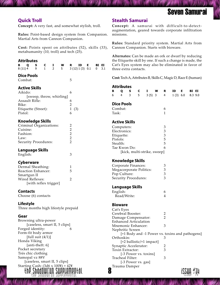#### <span id="page-8-0"></span>**Quick Troll**

**Concept:** A very fast, and somewhat stylish, troll.

**Rules:** Point-based design system from Companion. Martial Arts from Cannon Companion.

**Cost:** Points spent on attributes (52), skills (33), metahumanity  $(10, \text{troll})$  and tech  $(25)$ .

#### **Attributes**

| S<br>В<br>Q<br>C<br>I<br>W<br>$\overline{2}$<br>9<br>$\mathbf{1}$<br>5<br>8(11)4 | Е<br>BI EI<br>R<br>ID<br>3(12)1(3)0.1<br>3.1<br>0 | Cat's Eyes system may also be eliminated in favor<br>three extra contacts. |                                                     |
|----------------------------------------------------------------------------------|---------------------------------------------------|----------------------------------------------------------------------------|-----------------------------------------------------|
| <b>Dice Pools</b><br>Combat:                                                     | 5                                                 | Cost: Tech A, Attributes B, Skills C, Magic D, Race E (huma                |                                                     |
|                                                                                  |                                                   | <b>Attributes</b>                                                          |                                                     |
| <b>Active Skills</b><br>Aikido:                                                  | 6                                                 | s<br>c<br>W<br>в<br>Q<br>Ι.                                                | ID<br>Е.<br>BI EI<br>R.                             |
| [sweep, throw, whirling]                                                         |                                                   | 5<br>3(5)3<br>6<br>4<br>3                                                  | $\overline{4}$<br>1(3) 6.0<br>$8.3$ 9.0             |
| Assault Rifle:                                                                   | 6                                                 |                                                                            |                                                     |
| Bike:                                                                            | $\overline{c}$                                    | <b>Dice Pools</b>                                                          |                                                     |
| Etiquette (Street):                                                              | $\mathbf{1}$<br>(3)                               | Combat:                                                                    | 6                                                   |
| Pistol:                                                                          | 6                                                 | Task:                                                                      | $\mathbf{1}$                                        |
| <b>Knowledge Skills</b>                                                          |                                                   | <b>Active Skills</b>                                                       |                                                     |
| Criminal Organizations:                                                          | $\overline{c}$                                    |                                                                            |                                                     |
| Cuisine:                                                                         | $\overline{2}$                                    | Computers:<br>Electronics:                                                 | 3<br>3                                              |
| Fashion:                                                                         | $\overline{2}$                                    |                                                                            | 3                                                   |
| Law:                                                                             | $\overline{2}$                                    | Etiquette:<br>Pistols:                                                     | 5                                                   |
| Security Procedures:                                                             | 2                                                 | Stealth:                                                                   | 5                                                   |
|                                                                                  |                                                   | Tae Kwon Do:                                                               | 6                                                   |
| Language Skills                                                                  |                                                   | [kick, multi-strike, sweep]                                                |                                                     |
| English:                                                                         | 3                                                 |                                                                            |                                                     |
| <b>Cyberware</b>                                                                 |                                                   | <b>Knowledge Skills</b>                                                    |                                                     |
| Dermal Sheathing:                                                                | 1                                                 | Corporate Finances:                                                        | 3                                                   |
| Reaction Enhancer:                                                               | 5                                                 | Megacorporate Politics:                                                    | 3                                                   |
| Smartgun II                                                                      |                                                   | Pop Culture:                                                               | 3                                                   |
| Wired Reflexes:                                                                  | 2                                                 | Security Procedures:                                                       | 3                                                   |
| [with reflex trigger]                                                            |                                                   |                                                                            |                                                     |
|                                                                                  |                                                   | Language Skills                                                            |                                                     |
| <b>Contacts</b>                                                                  |                                                   | English:                                                                   | 6                                                   |
| Choose (6) contacts                                                              |                                                   | Read/Write:                                                                | 4                                                   |
| Lifestyle                                                                        |                                                   | <b>Bioware</b>                                                             |                                                     |
| Three months high lifestyle prepaid                                              |                                                   | Cat's Eyes                                                                 |                                                     |
|                                                                                  |                                                   | Cerebral Booster:                                                          | 2                                                   |
| Gear                                                                             |                                                   | Damage Compensator:                                                        | $\overline{2}$                                      |
| Browning ultra-power                                                             |                                                   | <b>Enhanced Articulation</b>                                               |                                                     |
| [caseless, smart II, 5 clips]<br>Forged identity:                                |                                                   | Mnemonic Enhancer:                                                         | 3                                                   |
| Form-fit body armor                                                              |                                                   | Nephritic Screen                                                           |                                                     |
| [full suit $(4/1)$ ]                                                             |                                                   |                                                                            | [+1 Body and -1 Power vs. toxins and pathogen]<br>3 |
| Honda Viking                                                                     |                                                   | Orthoskin:<br>[+2 ballistic/+1 impact]                                     |                                                     |
| [anti-theft: 6]                                                                  |                                                   | Synaptic Accelerator:                                                      | 2                                                   |
| Pocket secretary                                                                 |                                                   | Toxin Extractor:                                                           | 3                                                   |
| Trés chic clothing                                                               |                                                   | [-3 Power vs. toxins]                                                      |                                                     |
| Samopal vz 88V                                                                   |                                                   | Tracheal Filter:                                                           | 3                                                   |
| [caseless, smart II, 5 clips]                                                    |                                                   | [-3 Power vs. gas]                                                         |                                                     |
| Starting Cash: (3d6 x 100¥) + 42¥                                                |                                                   | Trauma Damper                                                              |                                                     |
|                                                                                  |                                                   | 8                                                                          |                                                     |
|                                                                                  |                                                   |                                                                            |                                                     |

#### **Stealth Samurai**

**Concept:** A samurai with difficult-to-detectaugmentation, geared towards corporate infiltration missions.

**Rules:** Standard priority system. Martial Arts from Cannon Companion. Starts with bioware.

**Alternates:** Can be made an ork or dwarf by reducing the Etiquette skill by one. If such a change is made, the Cat's Eyes system may also be eliminated in favor of three extra contacts.

#### **Attributes**

|  | BQSCI WRIDE BIEI                                |  |  |  |  |
|--|-------------------------------------------------|--|--|--|--|
|  | 6  4  3  5  3  (5)  3  4  1  (3)  6.0  8.3  9.0 |  |  |  |  |

#### **Dice Pools**

| Combat: |  |
|---------|--|
| Task:   |  |

#### **Active Skills**

| Computers:                  | 3  |
|-----------------------------|----|
| Electronics:                | 3  |
| Etiquette:                  | 3  |
| Pistols:                    | 5  |
| Stealth:                    | 5. |
| Tae Kwon Do:                | 6  |
| [kick, multi-strike, sweep] |    |

#### **Knowledge Skills**

| Corporate Finances:         | 3 |
|-----------------------------|---|
| Megacorporate Politics:     | 3 |
| Pop Culture:                | 3 |
| <b>Security Procedures:</b> | 3 |

#### **Language Skills**

| English:    |  |
|-------------|--|
| Read/Write: |  |

#### **Bioware**

| Cat's Eyes                                      |    |
|-------------------------------------------------|----|
| Cerebral Booster:                               | 2  |
| Damage Compensator:                             | 2  |
| Enhanced Articulation                           |    |
| Mnemonic Enhancer:                              | З  |
| Nephritic Screen                                |    |
| [+1 Body and -1 Power vs. toxins and pathogens] |    |
| Orthoskin:                                      | 3  |
| $[+2$ ballistic/+1 impact]                      |    |
| Synaptic Accelerator:                           | 2  |
| Toxin Extractor:                                | 3  |
| [-3 Power vs. toxins]                           |    |
| Tracheal Filter:                                | З  |
| [-3 Power vs. gas]                              |    |
| Trauma Damper                                   | "… |
|                                                 |    |

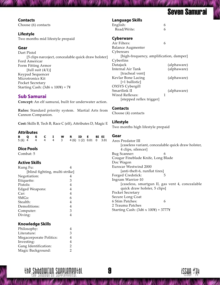## Seven Samurai

#### <span id="page-9-0"></span>**Contacts**

Choose (6) contacts

#### **Lifestyle**

Two months mid lifestyle prepaid

#### **Gear**

Dart Pistol [5 clips narcoject, concealable quick draw holster] Ford Americar Form Fitting Armor [full suit  $(4/1)$ ] Keypad Sequencer Microtronics Kit Pocket Secretary Starting Cash:  $(3d6 \times 100)$  + 7¥

### **Sub Samurai**

**Concept:** An elf samurai, built for underwater action.

**Rules:** Standard priority system. Martial Arts from Cannon Companion.

**Cost:** Skills B, Tech B, Race C (elf), Attributes D, Magic E

#### **Attributes**

|  |  |  | B Q S C I W R ID E BI EI               |  |  |
|--|--|--|----------------------------------------|--|--|
|  |  |  | 5(6) 4 4 4 4 3 4 (6) 1 (2) 0.01 0 3.01 |  |  |

#### **Dice Pools**

Combat: 5

#### **Active Skills**

| Kung Fu:                       |   |
|--------------------------------|---|
| [blind fighting, multi-strike] |   |
| Negotiation:                   | 4 |
| Etiquette:                     | 3 |
| Pistols:                       | 4 |
| Edged Weapons:                 | 4 |
| Car:                           | 4 |
| SMG <sub>s</sub> :             | 6 |
| Stealth:                       | 4 |
| Demolitions:                   | 4 |
| Computer:                      | 3 |
| Diving:                        | 4 |
|                                |   |

#### **Knowledge Skills**

| Philosophy:             | 4 |
|-------------------------|---|
| Literature:             | 3 |
| Megacorporate Politics: | 4 |
| Investing:              | 4 |
| Gang Identification:    | 2 |
| Magic Background:       | 2 |

#### **Language Skills**

| English:    | 6 |
|-------------|---|
| Read/Write: | 6 |

#### **Cyberware**

| Air Filters:                            |   |             |
|-----------------------------------------|---|-------------|
| <b>Balance Augmenter</b>                |   |             |
| Cyberears                               |   |             |
| [high-frequency, amplification, damper] |   |             |
| Cyberfins                               |   |             |
| Datajack                                |   | (alphaware) |
| <b>Internal Air Tank</b>                |   | (alphaware) |
| [tracheal vent]                         |   |             |
| Kevlar Bone Lacing                      |   | (alphaware) |
| [+1 ballistic]                          |   |             |
| OXSYS Cybergill                         |   |             |
| Smartlink II                            |   | (alphaware) |
| Wired Reflexes:                         | 1 |             |
| [stepped reflex trigger]                |   |             |
|                                         |   |             |

#### **Contacts**

Choose (4) contacts

#### **Lifestyle**

Two months high lifestyle prepaid

#### **Gear**

Ares Predator III [caseless variant, concealable quick draw holster, 4 clips, silencer] Bug Scanner: 6 Cougar Fineblade Knife, Long Blade Doc Wagon Eurocar Westwind 2000 [anti-theft-6, runflat tires] Forged Credstick: 5 Ingram Warrior-10 [caseless, smartgun II, gas vent 4, concealable quick draw holster, 5 clips] Pocket Secretary Secure Long Coat 6 Stim Patches: 6 2 Trauma Patches Starting Cash:  $(3d6 \times 100) + 3777$ ¥

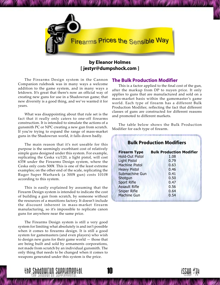<span id="page-10-0"></span>

### **by Eleanor Holmes [ jestyr@dumpshock.com ]**

The Firearms Design system in the Cannon Companion rulebook was in many ways a welcome addition to the game system, and in many ways a letdown. It's great that there's now an official way of creating new guns for use in a Shadowrun game; that new diversity is a good thing, and we've wanted it for years.

What was disappointing about that rule set is the fact that it really only caters to one-off firearms construction. It is intended to simulate the actions of a gunsmith PC or NPC creating a new gun from scratch. If youíre trying to expand the range of mass-market guns in the Shadowrun world, it falls down badly.

The main reason that it's not useable for this purpose is the seemingly exorbitant cost of relatively simple guns designed under this system. For example, replicating the Ceska vz/120, a light pistol, will cost 635• under the Firearms Design system, where the Ceska only costs 500¥. This is one of the least extreme examples; on the other end of the scale, replicating the Ruger Super Warhawk (a 300¥ gun) costs 1010¥ according to this system.

This is easily explained by assuming that the Firearm Design system is intended to indicate the cost of building a gun from scratch, by someone without the resources of a munitions factory. It doesn't include the discount inherent in mass-market firearm manufacturing, so it's impossible to replicate canon guns for anywhere near the same price.

The Firearms Design system is still a very good system for limiting what absolutely is and isn't possible when it comes to firearms design. It is still a good system for gamemasters (and even players) who wish to design new guns for their game world  $-$  those that are being built and sold by armaments corporations, not made from scratch by an individual gunsmith. The only thing that needs to be changed when it comes to weapons generated under this system is the price.

#### **The Bulk Production Modifier**

This is a factor applied to the final cost of the gun, after the markup from DP to nuyen price. It only applies to guns that are manufactured and sold on a mass-market basis within the gamemaster's game world. Each type of firearm has a different Bulk Production Modifier, reflecting the fact that different classes of guns are constructed for different reasons and promoted to different markets.

The table below shows the Bulk Production Modifier for each type of firearm.

| <b>Bulk Production Modifiers</b> |                                 |  |  |  |
|----------------------------------|---------------------------------|--|--|--|
| <b>Firearm Type</b>              | <b>Bulk Production Modifier</b> |  |  |  |
| <b>Hold-Out Pistol</b>           | 1.08                            |  |  |  |
| <b>Light Pistol</b>              | 0.79                            |  |  |  |
| Machine Pistol                   | 0.63                            |  |  |  |
| <b>Heavy Pistol</b>              | 0.46                            |  |  |  |
| Submachine Gun                   | 0.41                            |  |  |  |
| Shotgun                          | 0.50                            |  |  |  |
| <b>Sport Rifle</b>               | 0.47                            |  |  |  |
| <b>Assault Rifle</b>             | 0.56                            |  |  |  |
| <b>Sniper Rifle</b>              | 0.64                            |  |  |  |
| <b>Machine Gun</b>               | 0.54                            |  |  |  |



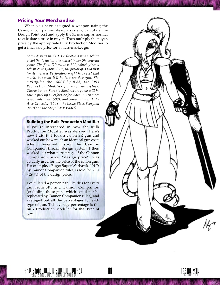#### <span id="page-11-0"></span>**Pricing Your Merchandise**

When you have designed a weapon using the Cannon Companion design system, calculate the Design Point cost and apply the 5x markup as normal to calculate a price in nuyen. Then multiply the nuyen price by the appropriate Bulk Production Modifier to get a final sale price for a mass-market gun.

*Sarah designs the SCK Perforator, a new machine pistol thatís just hit the market in her Shadowrun game. The final DP value is 300, which gives a sale price of 1,500•. Sure, the prototypes and first limited release Perforators might have cost that much, but soon itíll be just another gun. She multiplies the 1500• by 0.63, the Bulk Production Modifier for machine pistols. Characters in Sarahís Shadowrun game will be able to pick up a Perforator for 950• - much more reasonable than 1500•, and comparable with the Ares Crusader (950•), the Ceska Black Scorpion (850•) or the Steyr TMP (900•).*

#### **Building the Bulk Production Modifier**

If you're interested in how the Bulk Production Modifier was derived, here's how I did it: I took a canon SR gun and worked out how much an identical gun costs when designed using the Cannon Companion firearm design system. I then worked out what percentage of the Cannon Companion price ("design price") was actually used for the price of the canon gun. For example, a Ruger Super Warhawk, 1010• by Cannon Companion rules, is sold for 300¥ - 29.7% of the design price.

I calculated a percentage like this for every gun from SR3 and Cannon Companion (excluding those guns which could not be replicated by Cannon Companion rules), and averaged out all the percentages for each type of gun. This average percentage is the Bulk Production Modifier for that type of gun.



 $\frac{1}{2} \sum_{i=1}^n \sum_{j=1}^n \sum_{j=1}^n \sum_{j=1}^n \sum_{j=1}^n \sum_{j=1}^n \sum_{j=1}^n \sum_{j=1}^n \sum_{j=1}^n \sum_{j=1}^n \sum_{j=1}^n \sum_{j=1}^n \sum_{j=1}^n \sum_{j=1}^n \sum_{j=1}^n \sum_{j=1}^n \sum_{j=1}^n \sum_{j=1}^n \sum_{j=1}^n \sum_{j=1}^n \sum_{j=1}^n \sum_{j=1}^n \sum_{j=1}^n \sum_{j=1$ 

14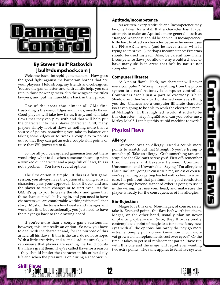

14

<span id="page-12-0"></span>

### **By Steven "Bull" Ratkovich [ bull@dumpshock.com ]**

Welcome back, intrepid gamemasters. How goes the good fight against the barbarian hordes that are your players? Hold strong, my friends and colleagues. You are the gamemaster, and with a little help, you can rein in those power gamers, clip the wings on the rules lawyers, and put the munchkins back in their place.

One of the areas that almost all GMs find frustrating is the use of Edges and Flaws, mostly flaws. Good players will take few flaws, if any, and will take flaws that they can play with and that will help put the character into their player character. Still, many players simply look at flaws as nothing more than a source of points, something you take to balance out taking some edges or to tweak a couple extra points out so that they can get an extra couple skill points or raise that Willpower up to 6.

So, for all you beleaguered gamemasters out there wondering what to do when someone shows up with a twinked out character and a page full of flaws, this is not a problem! You have several options.

The first option is simple. If this is a first game session, you always have the option of making sure all characters pass your approval. Look it over, and ask the player to make changes or to start over. As the GM, it's up to you to create the story and game that these characters will be living in, and you need to have characters you are comfortable working with to tell that story. Most of the time a few tweaks and changes will work just fine, but occasionally, you just need to have the player go back to the drawing board.

If you're more than a couple game sessions in, however, this isn't really an option. So now you have to deal with the character and, for the purpose of this article, all his flaws. If this is the case, do not lose hope. With a little creativity and a small sadistic streak, you can ensure that players are earning the build points that flaws grant them. They're called flaws for a reason – they should hinder the character in his or her daily life and when the pressure is on during a shadowrun.

#### **Aptitude/Incompetence**

As written, every Aptitude and Incompetence may be only taken for a skill that a character has. Player attempts to make an Aptitude more general - such as "Ranged Weapons" should be denied. If Incompetence: Rifle hardly affects a character because he never uses the FN-HAR he owns (and he never trains with it, trying to improve...), perhaps Incompetence: Firearms should be used instead. Also, be careful how many Incompetence flaws you allow  $-\omega$  why would a character have many skills in areas that he's by nature not competent in?

#### **Computer Illiterate**

"A 3 point flaw? Heck, my character will never use a computer.<sup>"</sup> Wrong! Everything from the phone system to a cars' Autonav is computer controlled. Computers aren't just a part of everyday life in Shadowrun; they're a part of darned near everything you do. Chances are a computer illiterate character isn't even going to be able to work the electronic menu at McHugh's. In this high tech world, it sucks to be this character. "Hey NightShade, can you order me a McSoy Meal? I can't get this stupid machine to work."

#### **Physical Flaws**

#### **Allergy**

Everyone loves an Allergy. Need a couple more points to scratch out that Strength 6 you're trying to munch up? Take an allergy! Grab something rare and stupid so the GM can't screw you! First off, remember this: There's a difference between Common, Uncommon, and Unworkable. Saying "I'm allergic to Platinum<sup>"</sup> isn't going to cut it with me, unless of course, youíre planning on getting loaded with cyber. In which case, I'll point out that platinum is a good conductor, and anything beyond standard cyber is going to use it in the wiring. Just use your head, and make sure the player is ready for the consequences of his allergies.

#### **Bio-Rejection**

Mages love this one. Non-mages, of course, rarely take it. Even at 5 points, this flaw isn't worth it to them. Mages, on the other hand, usually plan on never implanting cyberware. Sure, they'll occasionally contemplate a point of magic loss for some fancy new eyes with all the options, but rarely do they go more extreme. Simply put, do you know how much more vat grown clonal replacements cost over cyber? Or the time it takes to get said replacement parts? Have fun with this one and the mage will regret ever wanting two extra points. The same applies to Sensitive system.

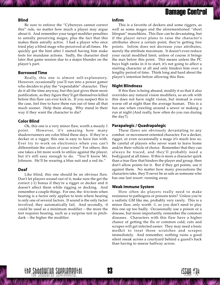## Damage Control

#### **Blind**

Be sure to enforce the "Cybereyes cannot correct this" rule, no matter how much a player may argue about it. And remember your target modifier penalties to astrally perceiving mages, plus the fact that this makes them astrally active. I had a player who once tried play a blind mage who perceived at all times. He quickly got the hint after I started having him make tests for mundane actions. Sadly, the character died later that game session due to a major blunder on the player's part.

#### **Borrowed Time**

Really, this one is almost self-explanatory. However, occasionally you'll run into a power gamer who decides to play the "expendable" character. They do it all the time anyway, but this just gives them more justification, as they figure they'll get themselves killed before this flaw can ever kick in. If you suspect this is the case, feel free to have them run out of time all that much sooner. Help them along. Why stand in their way if they want the character to die?

#### **Color Blind**

Ok, this one is a very minor flaw, worth a measly 1 point. However, it's amazing how many shadowrunners are color blind these days. If they're a decker or a rigger, this one is easy to have fun with. Ever try to work on electronics when you canít differentiate the colors of your wires? For others, this one takes a bit more work to utilize against the player, but it's still easy enough to do. "You'll know Mr. Johnson. He'll be wearing a blue suit and a red tie."

#### **Deaf**

Like blind, this one should be an obvious flaw. Don't let players weasel out of it, make sure the get the correct (-1) bonus if theyíre a rigger or decker and it doesn't affect them while rigging or decking. And remember a couple things. For one, the -4 to tests when hearing is a factor only applies to tests where hearing is only one of several factors. If sound is the only factor involved, they automatically fail. And secondly, -4 could be used as a minimum modifier  $-$  the more the test requires hearing, such as a surprise test in pitchdark – the higher the modifier.

#### **Infirm**

This is a favorite of deckers and some riggers, as well as some mages and the aforementioned "short lifespan" munchkins. This flaw can be devastating, but if the player never plans to raise the character's attributes above a certain point, theyíre getting free points. Infirm does not decrease your attributes, merely the attribute maximum. It doesn't even reduce your racial modified limit, unless of course it brings the max below this point. This means unless the PC buys high ranks in it to start, it's not going to affect a starting character at all and only hinders him over a lengthy period of time. Think long and hard about the player's intention before allowing this flaw.

#### **Night Blindness**

If this flaw is being abused, modify it so that it also overrides any natural vision modifiers, so an ork with this does not have night vision, but instead is even worse off at night than the average human. This is a fun one when crawling around a sewer or making a run at night (And really, how often do you run during the day?).

#### **Parapalegic / Quadrapalegic**

These flaws are obviously devastating to any combat- or movement-oriented character. For a decker, rigger, or even occasionally a mage it's much less so. Be careful of players who never want to leave home and/or their vehicle of choice. Remember that they can always be traced, and theyíll probably need a bodyguard at all times. If this is more a character quirk than a true flaw that hinders the player and group, then donít allow points for it. But if they get points, use it against them. No matter how many precautions the characters take, they'll never be as safe as someone who has one last resort: running away.

#### **Weak Immune System**

How often do players really need to make resistance to pathogens or poisons tests? Unless you're a sadistic GM like me, probably very rarely. This is a minor flaw, only worth -1, so you don't need to play this one up too badly. Occasionally use a poison or a disease, but more importantly, remember the common diseases. Characters with this flaw have a higher chance of getting the flu or common cold; cuts and scrapes will get infected easier. They may need a basic medkit to treat those scratches and scrapes immediately. And remember, nothing ruins a good silent sneak across a courtyard behind a guard's back than having to sneeze halfway across.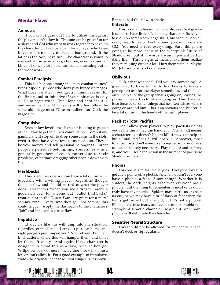#### <span id="page-14-0"></span>**Mental Flaws**

#### **Amnesia**

If you can't figure out how to utilize this against the player, don't allow it. This one can be great fun for a player and GM who want to work together to develop the character, but can be a pain for a player who takes it 'cause he's too lazy to create a background. If the latter is the case, have fun. The character is yours to use and abuse as relatives, children, enemies, and all kinds of other plot hooks can come swarming out of the woodwork.

#### **Combat Paralysis**

This is a big one among the "non-combat munch" types, especially those who don't play hyped up mages. What does it matter if you get a minimum result for the first round of initiative if your initiative is only 4+1D6 to begin with? Think long and hard about it, and remember that NPC teams will often follow the same old adage most PC teams adhere to: Geek the mage first.

#### **Compulsive**

Even at low levels, the character is going to go out of their way to get sate their compulsion. Compulsive gamblers will stop off to drop some coins in the slots, even if they have very few coins to do so. Theyíll borrow money and sell personal belongings – other people's personal belongings, sometimes - and generally get themselves in bother due to their problems, oftentimes dragging other people down with them.

#### **Flashbacks**

This is another one you can have a lot of fun with, especially with a willing player. Regardless though, this is a flaw and should be tied to what the player does. Flashbacks "when you see a dragon" aren't a good flashback for anyone, but "bullet flashbacks" from a stint in the Desert Wars are great for a merc/ sammy type. Every time they get into combat this could trigger. Apply the flashbacks to the character's "job" and it becomes a true flaw.

#### **Impulsive**

Characters like this will jump into any situation, regardless of the details. Left your pistol at home, and eight gangers just jumped you? No problem! Put them in situations where this will hamper them, and don't let them off easily. And again, if the character is designed to avoid this as a flaw, because he's got Willpower of six or more, then either throw it at him a lot, or don't allow it. For a good example of impulsive, watch the original Teenage Mutant Ninja Turtles movie.

#### Raphael had this flaw in spades. **Illiterate**

This is yet another munch favorite, as at first glance it seems to have little effect on the character. Sure, you lose out on some knowledge skills, but what all do you really need to read? Look around you, my desperate GM. You need to read everything. Sure, things are going to be more iconic in the cyberpunk future of Shadowrun, but still, words are an important part of daily life. Throw signs at them, make them realize theyíre missing out on a lot. Hurt them with it. Maybe Mr. Johnson wants a book report?

#### **Oblivious**

Huh, what was that? Did you say something? A great way to have fun with this flaw is to make a perception test for the player sometimes, and then tell only the rest of the group what's going on, leaving the player in the dark as to what's going on. This character is so focused on other things that he often misses what's going on around him. This is an obvious one, but could be a lot of fun in the hands of the right player.

#### **Pacifist / Total Pacifist**

Donít allow your players to play pacifists unless you really think they can handle it. Pacifist (-2) means a character just doesn't like to kill if they can help it, but a Total Pacifist (-5) will not kill. Moreover, most total pacifists don't even like to injure or harm others unless absolutely necessary. Play this up and enforce it, and you'll see a reduction in the number of pacifistic Shadowrunners.

#### **Phobia**

This one is similar to allergies. Everyone loves to get a few points off a phobia. After all, doesn't everyone have a phobia, a fear, of something? Whether it is spiders, the dark, heights, whatever, everyone has a phobia. But the thing to remember is most of us don't truly have any phobias. Spiders may startle us or creep us out, or we may have a brief flash of fear when the lights get turned out at night, but it's not a phobia. Phobias are true fears, and even a minor phobia will strongly distract a character, while a 4- or 5-point phobia will debilitate the character.

#### **Sensitive Neural Structure**

This should not be allowed for any character that doesnít deck or rig regularly.

14

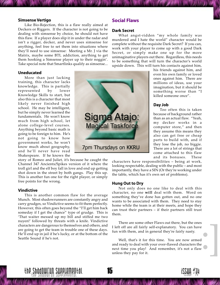#### <span id="page-15-0"></span>**Simsense Vertigo**

Like Bio-Rejection, this is a flaw really aimed at Deckers or Riggers. If the character is not going to be dealing with simsense by choice, he should not have this flaw. If a player does slip it in under the radar and isn't a rigger, decker, and never uses simsense for anything, feel free to set them into situations where they'll need to use simsense: Meeting a Mr. J via the Matrix, maybe some BTL addiction, anything to get them hooking a Simsense player up to their nogginí. Take special note that Smartlinks qualify as simsense...

#### **Uneducated**

More than just lacking training, this character lacks knowledge. This is partially represented by lower Knowledge Skills to start, but also this is a character that most likely never finished high school. He may be intelligent, but he simply never learned the fundamentals. He won't know much from high school, let alone college-level courses. Anything beyond basic math is going to be foreign to him. Heís not going to know how government works, he won't know much about geography, and heíll never have read Shakespeare. If he knows the

story of Romeo and Juliet, it's because he caught the Channel 347 Ancients/Spikes version of it where the troll girl and the elf boy fall in love and end up getting shot down in the street by both gangs. Play this up. This is another fun one for the right player, or simply free points for the wrong.

#### **Vindictive**

This is another common flaw for the average Munch. Most shadowrunners are constantly angry and carry grudges, so Vindictive seems to fit them perfectly. However, this often goes beyond the "I'll get him back someday if I get the chance" type of grudge. This is That waiter messed up my bill and stiffed me two nuyen!' followed by threats with a knife. Vindictive characters are dangerous to themselves and others, and are going to get the team in trouble one of these days. He'll end up in jail if he's lucky, or at the bottom of the Seattle Sound if he's not.

#### **Social Flaws**

#### **Dark Secret**

What angst-ridden "my whole family was murdered and I hate the world" character would be complete without the requisite Dark Secret? If you can, work with your player to come up with a good Dark Secret, or simply make one up for the more unimaginative players out there. Regardless, this needs to be something that will turn the character's world upside down. This will turn his contacts against him,



his friends against him, and even his own family or loved ones against him. There are millions of ideas, use your imagination, but it should be something worse than "I killed someone once".

#### **Day Job**

Too often this is taken because of background rather than as an actual flaw. "Yeah, my decker works in a computer store," and then they assume this means they also can get free or cheap parts to build with, and if they lose the job, no biggie. There are a lot of strings that come attached to this flaw and its bonuses. These

characters have responsibilities – being at work, looking respectable, dealing with the public – and most importantly, they have a SIN (Or they're working under the table, which has it's own set of problems).

#### **Hung Out to Dry**

Not only does no one like to deal with this character, no one **will** deal with them. Word on something they've done has gotten out, and no one wants to be associated with them. They need to stay home while the team is at their meets, and hope they can trust their partners  $-$  if their partners still trust them.

There are some other Flaws out there, but the ones I left off are all fairly self-explanatory. You can have fun with them, and in general they're fairly nasty.

:<br>|<br>|<br>|<br>|<br>| Well, that's it for this time. You are now armed and ready to deal with your over-flawed characters the next time you play! And remember, it's not a flaw unless they pay for it.



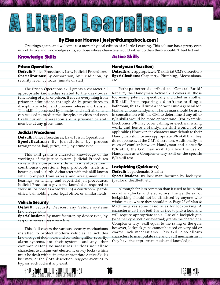<span id="page-16-0"></span>

#### **By Eleanor Homes [ jest omes jestyr@dumpshock.com ]**

Greetings again, and welcome to a more physical edition of A Little Learning. This column has a pretty even mix of Active and Knowledge skills, so those whose characters would rather do than think shouldn't feel left out.

#### **Knowledge Skills**

#### **Active Skills**

#### **Prison Operations**

**Default: Default:** Police Procedures, Law, Judicial Procedures **Specializations:** By corporation, by jurisdiction, by security level, by focus (inmate or staff)

The Prison Operations skill grants a character all appropriate knowledge related to the day-to-day functioning of a jail or prison. It covers everything from prisoner admissions through daily procedures to disciplinary action and prisoner release and transfer. This skill is possessed by inmates and staff alike, and can be used to predict the lifestyle, activities and even likely current whereabouts of a prisoner or staff member at any given time.

#### **Judicial Procedures**

**Default:** Police Procedures, Law, Prison Operations **Specializations:** By jurisdiction, by process (arraignment, bail, juries, etc.), by crime type

This skill grants a character knowledge of the workings of the justice system. Judicial Procedures covers the non-police side of law enforcement: courthouse operations, legal protocols, trials and hearings, and so forth. A character with this skill knows what to expect from arrests and arraignment, bail hearings, sentencing, and superficial jail procedures. Judicial Procedures gives the knowledge required to work in (or pose as a worker in) a courtroom, parole office, bail holding area, legal office, or similar fields.

#### **Vehicle Security**

**Default: Default:** Security Devices, any Vehicle systems knowledge skills

**Specializations: Specializations:** By manufacturer, by device type, by responsiveness (passive/active)

This skill covers the various security mechanisms installed to protect modern vehicles. It includes knowledge of door locks and controls, ignition security, alarm systems, anti-theft systems, and any other common defensive measures. It does not allow characters to circumvent electronic or key locks (which must be dealt with using the appropriate Active Skills) but may, at the GM's discretion, suggest avenues to bypass such locks if any exist.



**Default:** Any appropriate B/R skills (at GM's discretion) **Specializations:** Carpentry, Plumbing, Mechanisms, etc.

Perhaps better described as "General Build/ Repair", the Handyman Active Skill covers all those tool-using jobs not specifically included in another B/R skill. From repairing a doorframe to tiling a bathroom, this skill turns a character into a general Mr. Fixit and home handyman. Handyman should be used in consultation with the GM, to determine if any other B/R skills would be more appropriate. (For example, Electronics B/R may cover cabling or electrical wiring work, and hence a Handyman skill would not be applicable.) However, the character may default to their Handyman skill for any appropriate B/R skill that they do not possess, at the GM's discretion. Additionally, in cases of conflict between Handyman and a specific B/R skill, the GM may wish to allow the use of Handyman as a Complementary Skill on the specific B/R skill test.

#### **Lockpicking (Quickness)**

**Default:** Legerdemain, Stealth **Specializations:** By lock manufacturer, by lock type (padlock, deadbolt, etc.)

Although far less common than it used to be in this era of maglocks and electronics, the gentle art of lockpicking should not be dismissed by anyone who wishes to go where they should not. Page 27 of Man & Machine gives some basic rules for lockpicking. A character must have both hands free to pick a lock, and will require appropriate tools. Use of a lockpick gun (whether cybernetic or external) grants the character a Complementary Skill equal to the rating of the gun; however, lockpick guns cannot be used on very old or coarse lock mechanisms. This skill also allows characters to manipulate safe and vault mechanisms if they have the appropriate tools and knowledge.



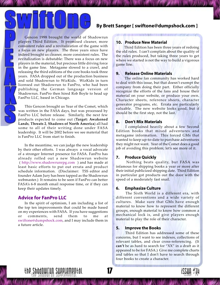#### **Speaks By Brett Sanger [ [swiftone@dumpshock.com](mailto:swiftone@dumpshock.com) ]**

<span id="page-17-0"></span>Gencon 1998 brought the world of Shadowrun players Third Edition. It promised cleaner, more consistent rules and a revitalization of the game with a focus on new players. The three years since have indeed brought us cleaner, more consistent rules. The revitalization is debatable: There was a focus on new players in the material, but precious little driving force in the game line. Metagame slowed to a crawl, and releasing the third editions of the core books took three years. FASA dropped out of the production business and sold Shadowrun to WizKids. WizKids in turn licensed out Shadowrun to FanPro, who had been publishing the German language version of Shadowrun. FanPro then hired Rob Boyle to head up FanPro LLC, based in Chicago.

This Gencon brought us Year of the Comet, which was written in the FASA days, but was processed by FanPro LLC before release. Similarly, the next few products expected to come out (**Target: Awakened Lands**, **Threats 2**, **Shadows of North America**) all had some to all of their writing done under FASA leadership. It will be 2002 before we see material that is FanPro LLC from start to finish.

In the meantime, we can judge the new leadership by their other efforts. I was always a vocal advocate of a stronger Internet presence for FASA. FanPro has already rolled out a new Shadowrun website (<http://www.shadowrunrpg.com>) and has made at least basic efforts to put out errata and product schedule information. (Disclaimer: TSS editor and founder Adam Jury has been tapped as the Shadowrun webmaster.) It remains to be seen if FanPro can better FASAís 6-8 month email response time, or if they can keep their updates timely.

#### **Advice for FanPro LLC**

In the spirit of optimism, I am including a list of the top ten improvements that could be made based on my experiences with FASA. If you have suggestions or comments, send them to me at [swiftone@dumpshock.com,](mailto:swiftone@dumpshock.com) and I may include them in a future article.

#### **10. Produce New Material**

 Third Edition has been three years of redoing the old rules. I can't complain about the quality of the rules produced, but taking three years to get where we started is not the way to build a vigorous game line.

#### **9. Release Online Materials**

 The online fan community has worked hard to deal with this issue, but that doesn't exempt the company from doing their part. Either officially recognize the efforts of the fans and house their material on your website, or produce your own. Character sheets, reference sheets, character generator programs, etc. Errata are particularly valuable. The new website looks good, but it should be the first step, not the last.

#### **8. Don't Mix Materials**

 I complained heavily about a few Second Edition books that mixed adventures and metagame information. This forced GMs that wanted to keep up-to-date to purchase adventures they might not want. Year of the Comet does a good job of avoiding this problem; let's see more of it.

#### **7. Produce Quickly**

 Nothing beats quality, but FASA was infamous for shipping books a year or more after their initial publicized shipping date. Third Edition in particular got products out the door with the speed of a moderately fast snail.

#### **6. Emphasize Culture**

 The Sixth World is a different era, with different conventions and a wide variety of cultures. Make sure that GMs have enough material to know how to represent the different groups, enough material to know how common a mechanical lock is, and give players enough material to play the role of their character.

#### **5. Improve the Books**

 Third Edition has addressed some of these concerns, but I want to see indexes, collections of relevant tables, and clear cross-referencing. (It can't be as hard to search for "XX" in a draft as it appeared to be for FASA.) Give me complete charts and tables so that I don't have to search through four books to create a character.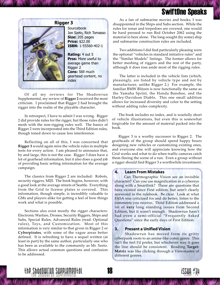## SwiftOne Speaks

<span id="page-18-0"></span>

**Sourcebook** Jon Szeto, Rich Tomasso **Size:** 205 pages **Price:** \$22.00 **ISBN:** 1-55560-402-1

**Rating:** 4 out 5 **Pros:** More useful to average game than Rigger 2 **Cons:** Still much gearhead content, no index

Of all my reviews for The Shadowrun Supplemental, my review of **Rigger 2** received the most criticism. I proclaimed that Rigger 2 had brought the rigger into the realm of the playable character.

In retrospect, I have to admit I was wrong. Rigger 2 did provide rules for the rigger, but those rules didn't mesh with the non-rigging rules well. The basics of Rigger 2 were incorporated into the Third Edition rules, though toned down to cause less interference.

Reflecting on all of this, I was concerned that **Rigger 3** would again mire the vehicle rules in multiple tests for every action. I am pleased to announce that, by and large, this is not the case. Rigger 3 does have a lot of gearhead information, but it also does a good job of providing basic setting information for the average campaign.

The classics from Rigger 2 are included: Robots, security riggers, MIJI. The book begins, however, with a good look at the average streets of Seattle. Everything from the Grid to license plates is covered. This information, though simple, is incredibly valuable to GMs and players alike for getting a feel of how things work and what is possible.

Sections also exist mostly the rigger characters: Electronic Warfare, Drones, Security Riggers, Ships and Subs, Special Rules, Advanced Rules (read: Optional rules), Toys, and Customization. Most of this information is very similar to that given in Rigger 2 or **Cyberpirates**, with some of the vague areas better defined. It is refreshing to have a sequel written (at least in part) by the same author, particularly one who has been as available to the community as Mr. Szeto. This allows actual common questions and confusion to be addressed.

**Rigger 3** As a fan of submarine movies and books, I was<br>disappointed in the Ships and Subs section. While the rules for sonar and torpedoes are covered, one would be hard pressed to run Red October 2062 using the material in here alone. The long-sought (by some) ship and submarine construction rules are included.

> Two additions I did find particularly pleasing were the optional "vehicles in standard initiative rules" and the "Similar Models" listings. The former allows for better meshing of riggers and the rest of the party, although it does toss aside most of the rigging rules.

> The latter is included in the vehicle lists (which, pleasingly, are listed by vehicle type and not by manufacturer, unlike Rigger 2.) For example, the familiar BMW Blitzen is now functionally the same as the Yamaha Sprint, the Honda Banshee, and the Harley-Davidson Diablo. This one small addition allows for increased diversity and color to the setting without adding rules complexity.

> The book includes no index, and is woefully short of vehicle illustrations, but even this is somewhat forgivable for the amount of material packed into the book.

> Rigger 3 is a worthy successor to Rigger 2. The gearheads of the group should spend happy hours designing new vehicles or customizing existing ones, and everyone else will appreciate knowing how the Grid works and what to do when traffic cameras catch them fleeing the scene of a run. Even a group without a rigger should find Rigger 3 a worthwhile investment.

#### **4. Learn From Mistakes**

 Can Thermographic Vision see an invisible character? Can you use magnification in a cybereye along with a Smartlink? These are questions that have existed since First edition, but aren't clearly answered in the rulebook. Be clear. Look at what FASA was criticized for and do better, listen to the comments you receive. Third Edition addressed a lot of **very** long standing issues from Second Edition, but it wasn't enough. Shadowrun hasn't had even a semi-official "Frequently Asked Questions" since the early days of First Edition.

#### **3. Present a Unified Vision**

 Shadowrun has moved from its gritty cyberpunk roots to an anime-like comic genre. This isn't the feel I'd prefer, but whichever way it goes the line should be consistent. Reading **Target: Matrix** was like clicking through a Viewmaster of different genres.

14

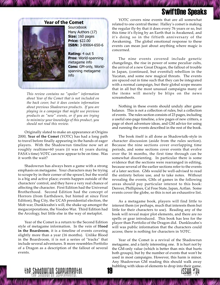## SwiftOne Speaks

<span id="page-19-0"></span>

**Sourcebook** Many Authors (17) **Size:** 160 pages **Price:** \$22.00 **ISBN:** 3-89064-650-6

**Rating:** 4 out 5 **Pros:** World-spanning metagame info **Cons:** GM-only, Worldspanning metagame info

*This review contains no "spoiler" information about Year of the Comet that is not included on the back cover, but it does contain information about previous Shadowrun products. If you are playing in a campaign that might use previous products as "new" events, or if you are trying to minimize your knowledge of this product, you should not read this review.*

Originally slated to make an appearance at Origins 2000, **Year of the Comet** (YOTC) has had a long path to travel before finally appearing in the hands of eager players. With the Shadowrun timeline now set at roughly realtime+60 years (it was 61 years during FASA's time) YOTC can now appear to be on time. Was it worth the wait?

Shadowrun has always been a game with a strong emphasis on metagame. Your characters may be trying to scrape by in their corner of the sprawl, but the world is a big and active place; events happen outside of the characters' control, and they have a very real chance of affecting the character. First Edition had the Universal Brotherhood. Second Edition had the concept of Horrors (from Earthdawn, but hinted at since First Edition), Bug City, the UCAS presidential election, the Mob war, Dunklezahn's will, the shake up amongst the megacorporations, the Voodoo War. Third Edition had the Arcology, but little else in the way of metaplot.

Year of the Comet is a return to the Second Edition style of metagame information. In the vein of B**lood in the Boardroom**, it is a timeline of events covering slightly more than a year (16 months). Unlike Blood in the Boardroom, it is not a series of "tracks" that include several adventures. It more resembles Portfolio of a Dragon as a description of the fallout of several events.

**YOTC** covers nine events that are all somewhat related to one central theme: Halley's comet is making the regular fly-by that it does every 76 years or so, but this time it's flying by an Earth that is Awakened, and it's doing so in the fiftieth anniversary of the Awakening. The global emotional response to these events can mean just about anything where magic is concerned.

> The nine events covered include genetic changelings, the rise in power of some peculiar cults, the arrival of a new Great Dragon, the fallout of trouble in Japan, (continued, but eventful) rebellion in the Yucatan, and some new magical threats. The events are spaced out in time such that they can be integrated with a normal campaign, but their global scope means that in all but the most unusual campaigns many of the items will merely be blips on the news screamsheets.

> Nothing in these events should unduly alter game balance. This is not a collection of rules, but a collection of events. The rules section consists of 23 pages, including a useful one-page timeline, a few pages of new critters, a page of short adventure ideas, and GM advice for using and running the events described in the rest of the book.

> The book itself is all done as Shadowtalk-style in character discussion (aside from the rules section). Because the nine sections cover overlapping time periods, and some sections cover events that evolve over the 16 months, the first time through can be somewhat disorienting. In particular there is some evidence that the sections were rearranged in editing, because several of the earlier sections refer to the events of a later section. GMs would be well-advised to read the entirety before use, and to take notes. Without revealing the events, GMs of games in the following areas should pay particular interest to this book: Denver, Phillipines, Cal Free State, Japan, Aztlan. Some events cover the globe, so this is not an exhaustive list.

> As a metagame book, players will find little to interest them (or perhaps, much that interests them but little for their characters to use). Reading any of the book will reveal major plot elements, and there are no spells or gear introduced. This book has less for the player than Portfolio of the Dragon did. Dunklezahn's will was public information that the characters could access; there is nothing for characters in YOTC.

> 14 bubbling with ideas of elements to drop into their game.Year of the Comet is a revival of the Shadowrun metagame, and a fairly interesting one. It is hurt not by the GM-only value (which is better than mix that hurts both groups), but by the number of events that won't be used in most campaigns. However, this harm is minor. Any Shadowrun GM reading this should walk away